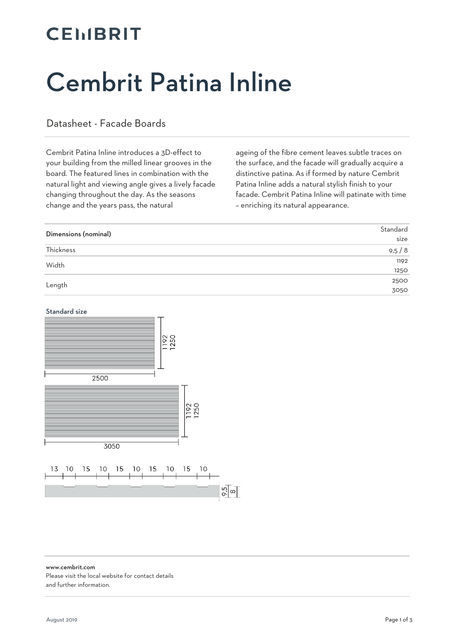#### **CELIBRIT**

# Cembrit Patina Inline

#### Datasheet - Facade Boards

Cembrit Patina Inline introduces a 3D-effect to your building from the milled linear grooves in the board. The featured lines in combination with the natural light and viewing angle gives a lively facade changing throughout the day. As the seasons change and the years pass, the natural

ageing of the fibre cement leaves subtle traces on the surface, and the facade will gradually acquire a distinctive patina. As if formed by nature Cembrit Patina Inline adds a natural stylish finish to your facade. Cembrit Patina Inline will patinate with time – enriching its natural appearance.

| Dimensions (nominal) | Standard |
|----------------------|----------|
|                      | size     |
| Thickness            | 9,5/8    |
| Width                | 1192     |
|                      | 1250     |
| Length               | 2500     |
|                      | 3050     |

#### Standard size



www.cembrit.com Please visit the local website for contact details

and further information.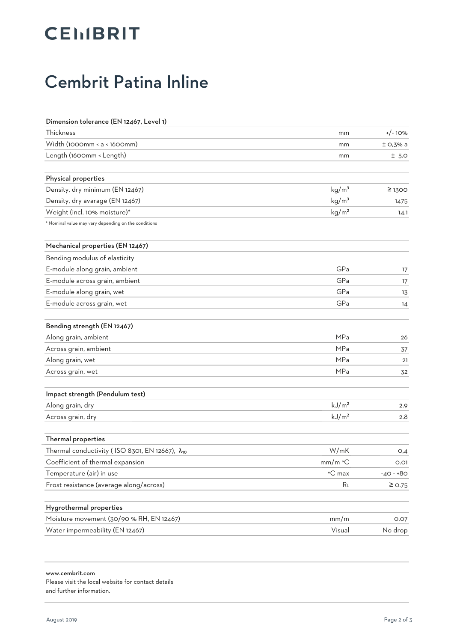## **CEIIBRIT**

#### Cembrit Patina Inline

| Dimension tolerance (EN 12467, Level 1)              |                   |             |
|------------------------------------------------------|-------------------|-------------|
| Thickness                                            | mm                | $+/-10%$    |
| Width (1000mm < a < 1600mm)                          | mm                | $±$ O,3% a  |
| Length (1600mm < Length)                             | mm                | ± 5.0       |
| Physical properties                                  |                   |             |
| Density, dry minimum (EN 12467)                      | kg/m <sup>3</sup> | $\geq$ 1300 |
| Density, dry avarage (EN 12467)                      | kg/m <sup>3</sup> | 1475        |
| Weight (incl. 10% moisture)*                         | kg/m <sup>2</sup> | 14.1        |
| * Nominal value may vary depending on the conditions |                   |             |
| Mechanical properties (EN 12467)                     |                   |             |
| Bending modulus of elasticity                        |                   |             |
| E-module along grain, ambient                        | GPa               | 17          |
| E-module across grain, ambient                       | GPa               | 17          |
| E-module along grain, wet                            | GPa               | 13          |
| E-module across grain, wet                           | GPa               | 14          |
| Bending strength (EN 12467)                          |                   |             |
| Along grain, ambient                                 | <b>MPa</b>        | 26          |
| Across grain, ambient                                | <b>MPa</b>        | 37          |
| Along grain, wet                                     | <b>MPa</b>        | 21          |
| Across grain, wet                                    | MPa               | 32          |
| Impact strength (Pendulum test)                      |                   |             |
| Along grain, dry                                     | kJ/m <sup>2</sup> | 2.9         |
| Across grain, dry                                    | kJ/m <sup>2</sup> | 2.8         |
| Thermal properties                                   |                   |             |
| Thermal conductivity (ISO 8301, EN 12667), λ10       | W/mK              | O,4         |
| Coefficient of thermal expansion                     | mm/m °C           | 0.01        |
| Temperature (air) in use                             | °C max            | $-40 - +80$ |
| Frost resistance (average along/across)              | R <sub>L</sub>    | $\geq$ 0.75 |
| Hygrothermal properties                              |                   |             |
| Moisture movement (30/90 % RH, EN 12467)             | mm/m              | O, O7       |
| Water impermeability (EN 12467)                      | Visual            | No drop     |
|                                                      |                   |             |

www.cembrit.com Please visit the local website for contact details and further information.